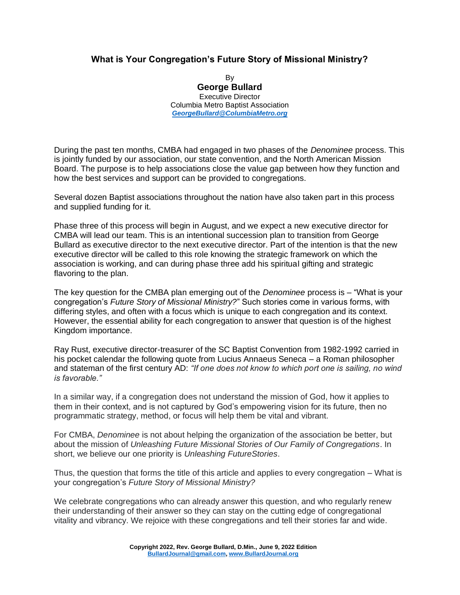## **What is Your Congregation's Future Story of Missional Ministry?**

By **George Bullard** Executive Director Columbia Metro Baptist Association *[GeorgeBullard@ColumbiaMetro.org](mailto:GeorgeBullard@ColumbiaMetro.org)*

During the past ten months, CMBA had engaged in two phases of the *Denominee* process. This is jointly funded by our association, our state convention, and the North American Mission Board. The purpose is to help associations close the value gap between how they function and how the best services and support can be provided to congregations.

Several dozen Baptist associations throughout the nation have also taken part in this process and supplied funding for it.

Phase three of this process will begin in August, and we expect a new executive director for CMBA will lead our team. This is an intentional succession plan to transition from George Bullard as executive director to the next executive director. Part of the intention is that the new executive director will be called to this role knowing the strategic framework on which the association is working, and can during phase three add his spiritual gifting and strategic flavoring to the plan.

The key question for the CMBA plan emerging out of the *Denominee* process is – "What is your congregation's *Future Story of Missional Ministry?*" Such stories come in various forms, with differing styles, and often with a focus which is unique to each congregation and its context. However, the essential ability for each congregation to answer that question is of the highest Kingdom importance.

Ray Rust, executive director-treasurer of the SC Baptist Convention from 1982-1992 carried in his pocket calendar the following quote from Lucius Annaeus Seneca – a Roman philosopher and stateman of the first century AD: *"If one does not know to which port one is sailing, no wind is favorable."*

In a similar way, if a congregation does not understand the mission of God, how it applies to them in their context, and is not captured by God's empowering vision for its future, then no programmatic strategy, method, or focus will help them be vital and vibrant.

For CMBA, *Denominee* is not about helping the organization of the association be better, but about the mission of *Unleashing Future Missional Stories of Our Family of Congregations*. In short, we believe our one priority is *Unleashing FutureStories*.

Thus, the question that forms the title of this article and applies to every congregation – What is your congregation's *Future Story of Missional Ministry?*

We celebrate congregations who can already answer this question, and who regularly renew their understanding of their answer so they can stay on the cutting edge of congregational vitality and vibrancy. We rejoice with these congregations and tell their stories far and wide.